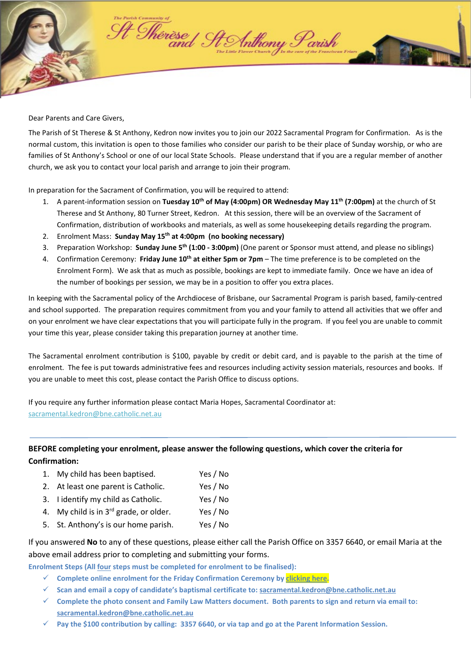

Dear Parents and Care Givers,

The Parish of St Therese & St Anthony, Kedron now invites you to join our 2022 Sacramental Program for Confirmation. As is the normal custom, this invitation is open to those families who consider our parish to be their place of Sunday worship, or who are families of St Anthony's School or one of our local State Schools. Please understand that if you are a regular member of another church, we ask you to contact your local parish and arrange to join their program.

In preparation for the Sacrament of Confirmation, you will be required to attend:

- 1. A parent-information session on **Tuesday 10th of May (4:00pm) OR Wednesday May 11th (7:00pm)** at the church of St Therese and St Anthony, 80 Turner Street, Kedron. At this session, there will be an overview of the Sacrament of Confirmation, distribution of workbooks and materials, as well as some housekeeping details regarding the program.
- 2. Enrolment Mass: **Sunday May 15th at 4:00pm (no booking necessary)**
- 3. Preparation Workshop: **Sunday June 5th (1:00 3:00pm)** (One parent or Sponsor must attend, and please no siblings)
- 4. Confirmation Ceremony: **Friday June 10th at either 5pm or 7pm** The time preference is to be completed on the Enrolment Form). We ask that as much as possible, bookings are kept to immediate family. Once we have an idea of the number of bookings per session, we may be in a position to offer you extra places.

In keeping with the Sacramental policy of the Archdiocese of Brisbane, our Sacramental Program is parish based, family-centred and school supported. The preparation requires commitment from you and your family to attend all activities that we offer and on your enrolment we have clear expectations that you will participate fully in the program. If you feel you are unable to commit your time this year, please consider taking this preparation journey at another time.

The Sacramental enrolment contribution is \$100, payable by credit or debit card, and is payable to the parish at the time of enrolment. The fee is put towards administrative fees and resources including activity session materials, resources and books. If you are unable to meet this cost, please contact the Parish Office to discuss options.

If you require any further information please contact Maria Hopes, Sacramental Coordinator at: sacramental[.kedron@bne.catholic.net.au](mailto:kedron@bne.catholic.net.au)

**BEFORE completing your enrolment, please answer the following questions, which cover the criteria for Confirmation:**

- 1. My child has been baptised. Yes / No
- 2. At least one parent is Catholic. Yes / No
- 3. I identify my child as Catholic. Yes / No
- 4. My child is in  $3^{rd}$  grade, or older. Yes / No
- 5. St. Anthony's is our home parish. Yes / No

If you answered **No** to any of these questions, please either call the Parish Office on 3357 6640, or email Maria at the above email address prior to completing and submitting your forms.

**Enrolment Steps (All four steps must be completed for enrolment to be finalised):** 

- **Complete online enrolment for the Friday Confirmation Ceremony b[y clicking here.](https://www.trybooking.com/BYNWP)**
- **Scan and email a copy of candidate's baptismal certificate to: sacramenta[l.kedron@bne.catholic.net.au](mailto:kedron@bne.catholic.net.au)**
- **Complete the photo consent and Family Law Matters document. Both parents to sign and return via email to: sacramenta[l.kedron@bne.catholic.net.au](mailto:kedron@bne.catholic.net.au)**
- **Pay the \$100 contribution by calling: 3357 6640, or via tap and go at the Parent Information Session.**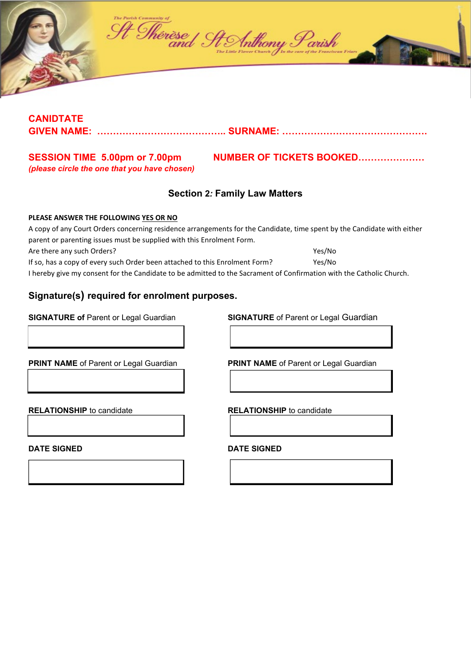

## **CANIDTATE GIVEN NAME: ………………………………….. SURNAME: ……………………………………….**

# *(please circle the one that you have chosen)*

SESSION TIME 5.00pm or 7.00pm NUMBER OF TICKETS BOOKED...........................

## **Section 2***:* **Family Law Matters**

#### **PLEASE ANSWER THE FOLLOWING YES OR NO**

A copy of any Court Orders concerning residence arrangements for the Candidate, time spent by the Candidate with either parent or parenting issues must be supplied with this Enrolment Form. Are there any such Orders? The state of the state of the state of the state of the state of the state of the state of the state of the state of the state of the state of the state of the state of the state of the state of If so, has a copy of every such Order been attached to this Enrolment Form? Yes/No I hereby give my consent for the Candidate to be admitted to the Sacrament of Confirmation with the Catholic Church.

# **Signature(s) required for enrolment purposes.**

**SIGNATURE of** Parent or Legal Guardian **SIGNATURE** of Parent or Legal Guardian

**PRINT NAME** of Parent or Legal Guardian **PRINT NAME** of Parent or Legal Guardian

**RELATIONSHIP** to candidate **RELATIONSHIP** to candidate

**DATE SIGNED DATE SIGNED**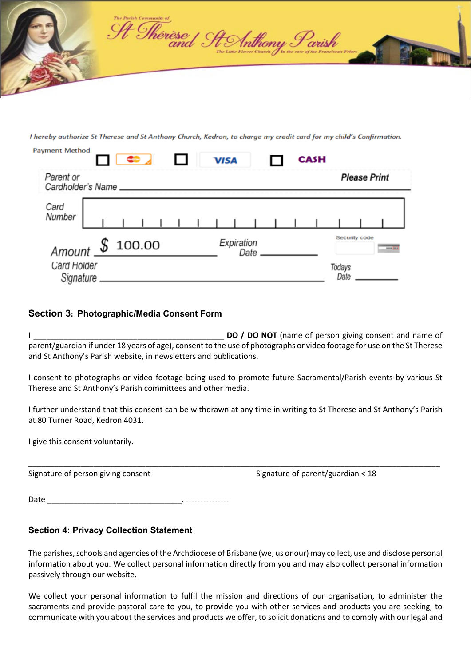

I hereby authorize St Therese and St Anthony Church, Kedron, to charge my credit card for my child's Confirmation.

| ayment Method            |  |                   |  | œ, |  |  |                    | <b>VISA</b> |  |  |  |  | <b>CASH</b>    |                                  |  |  |  |
|--------------------------|--|-------------------|--|----|--|--|--------------------|-------------|--|--|--|--|----------------|----------------------------------|--|--|--|
| Parent or                |  | Cardholder's Name |  |    |  |  |                    |             |  |  |  |  |                | <b>Please Print</b>              |  |  |  |
| Card<br>Number           |  |                   |  |    |  |  |                    |             |  |  |  |  |                |                                  |  |  |  |
|                          |  | Amount \$ 100.00  |  |    |  |  | Expiration<br>Date |             |  |  |  |  |                | Security code<br><b>GOOD REE</b> |  |  |  |
| Card Holder<br>Signature |  |                   |  |    |  |  |                    |             |  |  |  |  | Todays<br>Date |                                  |  |  |  |

#### **Section 3: Photographic/Media Consent Form**

I **DO / DO NOT** (name of person giving consent and name of parent/guardian if under 18 years of age), consent to the use of photographs or video footage for use on the St Therese and St Anthony's Parish website, in newsletters and publications.

I consent to photographs or video footage being used to promote future Sacramental/Parish events by various St Therese and St Anthony's Parish committees and other media.

I further understand that this consent can be withdrawn at any time in writing to St Therese and St Anthony's Parish at 80 Turner Road, Kedron 4031.

\_\_\_\_\_\_\_\_\_\_\_\_\_\_\_\_\_\_\_\_\_\_\_\_\_\_\_\_\_\_\_\_\_\_\_\_\_\_\_\_\_\_\_\_\_\_\_\_\_\_\_\_\_\_\_\_\_\_\_\_\_\_\_\_\_\_\_\_\_\_\_\_\_\_\_\_\_\_\_\_\_\_\_\_\_\_\_\_\_\_\_\_\_\_\_

I give this consent voluntarily.

 $\mathbf{p}$ 

Signature of person giving consent Signature of parent/guardian < 18

Date \_\_\_\_\_\_\_\_\_\_\_\_\_\_\_\_\_\_\_\_\_\_\_\_\_\_\_\_\_\_\_. ……………

## **Section 4: Privacy Collection Statement**

The parishes, schools and agencies of the Archdiocese of Brisbane (we, us or our) may collect, use and disclose personal information about you. We collect personal information directly from you and may also collect personal information passively through our website.

We collect your personal information to fulfil the mission and directions of our organisation, to administer the sacraments and provide pastoral care to you, to provide you with other services and products you are seeking, to communicate with you about the services and products we offer, to solicit donations and to comply with our legal and